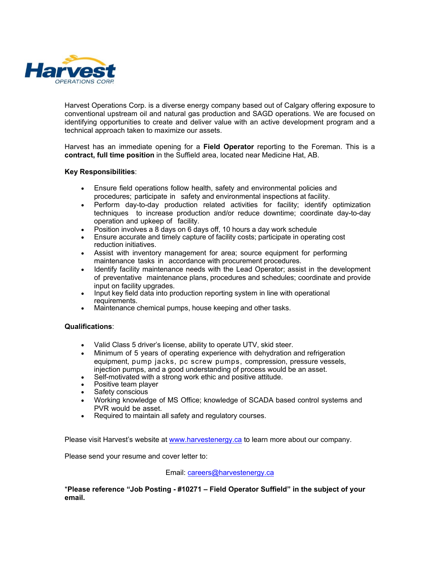

Harvest Operations Corp. is a diverse energy company based out of Calgary offering exposure to conventional upstream oil and natural gas production and SAGD operations. We are focused on identifying opportunities to create and deliver value with an active development program and a technical approach taken to maximize our assets.

Harvest has an immediate opening for a **Field Operator** reporting to the Foreman. This is a **contract, full time position** in the Suffield area, located near Medicine Hat, AB.

## **Key Responsibilities**:

- Ensure field operations follow health, safety and environmental policies and procedures; participate in safety and environmental inspections at facility.
- Perform day-to-day production related activities for facility; identify optimization techniques to increase production and/or reduce downtime; coordinate day-to-day operation and upkeep of facility.
- Position involves a 8 days on 6 days off, 10 hours a day work schedule
- Ensure accurate and timely capture of facility costs; participate in operating cost reduction initiatives.
- Assist with inventory management for area; source equipment for performing maintenance tasks in accordance with procurement procedures.
- Identify facility maintenance needs with the Lead Operator; assist in the development of preventative maintenance plans, procedures and schedules; coordinate and provide input on facility upgrades.
- Input key field data into production reporting system in line with operational requirements.
- Maintenance chemical pumps, house keeping and other tasks.

## **Qualifications**:

- Valid Class 5 driver's license, ability to operate UTV, skid steer.
- Minimum of 5 years of operating experience with dehydration and refrigeration equipment, pump jacks, pc screw pumps, compression, pressure vessels, injection pumps, and a good understanding of process would be an asset.
- Self-motivated with a strong work ethic and positive attitude.
- Positive team player
- Safety conscious
- Working knowledge of MS Office; knowledge of SCADA based control systems and PVR would be asset.
- Required to maintain all safety and requlatory courses.

Please visit Harvest's website at [www.harvestenergy.ca](http://www.harvestenergy.ca/) to learn more about our company.

Please send your resume and cover letter to:

## Email: [careers@harvestenergy.ca](mailto:careers@harvestenergy.ca)

\***Please reference "Job Posting - #10271 – Field Operator Suffield" in the subject of your email.**